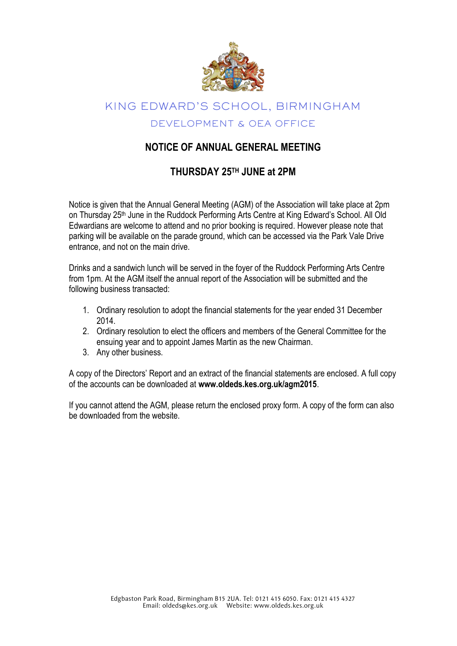

# KING EDWARD'S SCHOOL, BIRMINGHAM DEVELOPMENT & OEA OFFICE

### **NOTICE OF ANNUAL GENERAL MEETING**

### **THURSDAY 25 TH JUNE at 2PM**

Notice is given that the Annual General Meeting (AGM) of the Association will take place at 2pm on Thursday 25<sup>th</sup> June in the Ruddock Performing Arts Centre at King Edward's School. All Old Edwardians are welcome to attend and no prior booking is required. However please note that parking will be available on the parade ground, which can be accessed via the Park Vale Drive entrance, and not on the main drive.

Drinks and a sandwich lunch will be served in the foyer of the Ruddock Performing Arts Centre from 1pm. At the AGM itself the annual report of the Association will be submitted and the following business transacted:

- 1. Ordinary resolution to adopt the financial statements for the year ended 31 December 2014.
- 2. Ordinary resolution to elect the officers and members of the General Committee for the ensuing year and to appoint James Martin as the new Chairman.
- 3. Any other business.

A copy of the Directors' Report and an extract of the financial statements are enclosed. A full copy of the accounts can be downloaded at **www.oldeds.kes.org.uk/agm2015**.

If you cannot attend the AGM, please return the enclosed proxy form. A copy of the form can also be downloaded from the website.